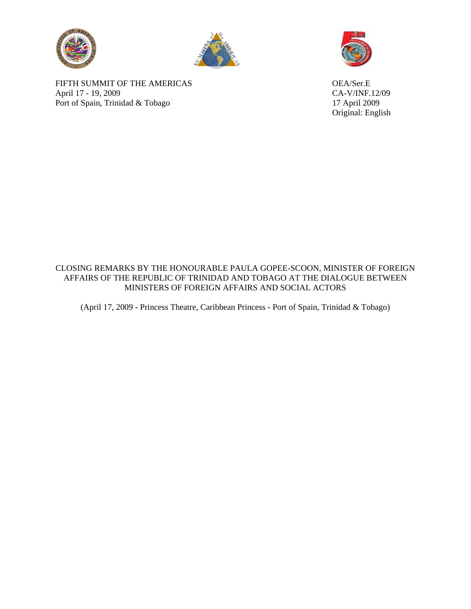



FIFTH SUMMIT OF THE AMERICAS OEA/Ser.E April 17 - 19, 2009<br>
Port of Spain, Trinidad & Tobago<br>
17 April 2009 Port of Spain, Trinidad  $&$  Tobago



Original: English

## CLOSING REMARKS BY THE HONOURABLE PAULA GOPEE-SCOON, MINISTER OF FOREIGN AFFAIRS OF THE REPUBLIC OF TRINIDAD AND TOBAGO AT THE DIALOGUE BETWEEN MINISTERS OF FOREIGN AFFAIRS AND SOCIAL ACTORS

(April 17, 2009 - Princess Theatre, Caribbean Princess - Port of Spain, Trinidad & Tobago)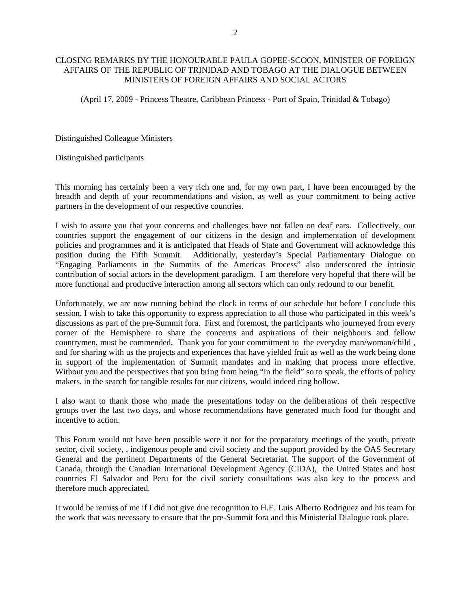## CLOSING REMARKS BY THE HONOURABLE PAULA GOPEE-SCOON, MINISTER OF FOREIGN AFFAIRS OF THE REPUBLIC OF TRINIDAD AND TOBAGO AT THE DIALOGUE BETWEEN MINISTERS OF FOREIGN AFFAIRS AND SOCIAL ACTORS

(April 17, 2009 - Princess Theatre, Caribbean Princess - Port of Spain, Trinidad & Tobago)

Distinguished Colleague Ministers

Distinguished participants

This morning has certainly been a very rich one and, for my own part, I have been encouraged by the breadth and depth of your recommendations and vision, as well as your commitment to being active partners in the development of our respective countries.

I wish to assure you that your concerns and challenges have not fallen on deaf ears. Collectively, our countries support the engagement of our citizens in the design and implementation of development policies and programmes and it is anticipated that Heads of State and Government will acknowledge this position during the Fifth Summit. Additionally, yesterday's Special Parliamentary Dialogue on "Engaging Parliaments in the Summits of the Americas Process" also underscored the intrinsic contribution of social actors in the development paradigm. I am therefore very hopeful that there will be more functional and productive interaction among all sectors which can only redound to our benefit.

Unfortunately, we are now running behind the clock in terms of our schedule but before I conclude this session, I wish to take this opportunity to express appreciation to all those who participated in this week's discussions as part of the pre-Summit fora. First and foremost, the participants who journeyed from every corner of the Hemisphere to share the concerns and aspirations of their neighbours and fellow countrymen, must be commended. Thank you for your commitment to the everyday man/woman/child , and for sharing with us the projects and experiences that have yielded fruit as well as the work being done in support of the implementation of Summit mandates and in making that process more effective. Without you and the perspectives that you bring from being "in the field" so to speak, the efforts of policy makers, in the search for tangible results for our citizens, would indeed ring hollow.

I also want to thank those who made the presentations today on the deliberations of their respective groups over the last two days, and whose recommendations have generated much food for thought and incentive to action.

This Forum would not have been possible were it not for the preparatory meetings of the youth, private sector, civil society, , indigenous people and civil society and the support provided by the OAS Secretary General and the pertinent Departments of the General Secretariat. The support of the Government of Canada, through the Canadian International Development Agency (CIDA), the United States and host countries El Salvador and Peru for the civil society consultations was also key to the process and therefore much appreciated.

It would be remiss of me if I did not give due recognition to H.E. Luis Alberto Rodriguez and his team for the work that was necessary to ensure that the pre-Summit fora and this Ministerial Dialogue took place.